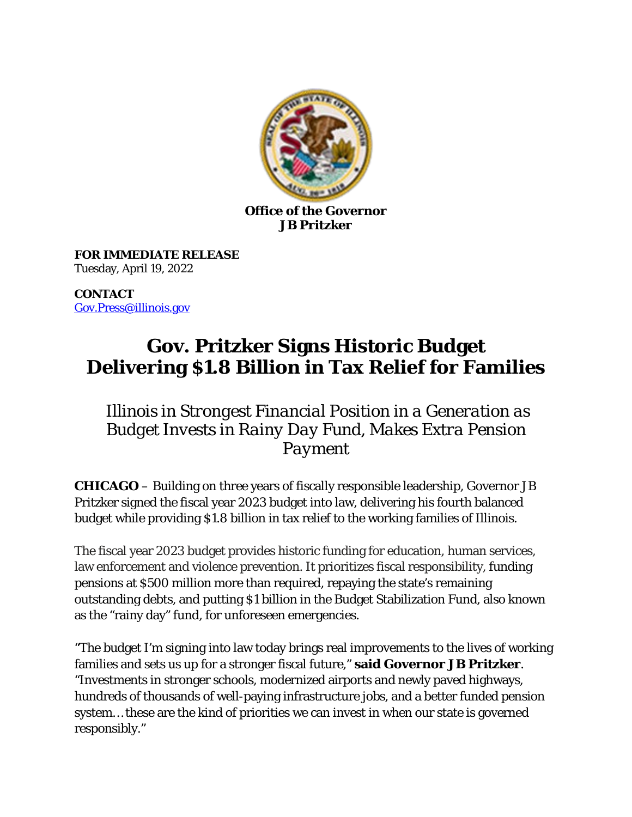

**Office of the Governor JB Pritzker**

**FOR IMMEDIATE RELEASE** Tuesday, April 19, 2022

**CONTACT** [Gov.Press@illinois.gov](mailto:Gov.Press@illinois.gov) 

# **Gov. Pritzker Signs Historic Budget Delivering \$1.8 Billion in Tax Relief for Families**

## *Illinois in Strongest Financial Position in a Generation as Budget Invests in Rainy Day Fund, Makes Extra Pension Payment*

**CHICAGO** – Building on three years of fiscally responsible leadership, Governor JB Pritzker signed the fiscal year 2023 budget into law, delivering his fourth balanced budget while providing \$1.8 billion in tax relief to the working families of Illinois.

The fiscal year 2023 budget provides historic funding for education, human services, law enforcement and violence prevention. It prioritizes fiscal responsibility, funding pensions at \$500 million more than required, repaying the state's remaining outstanding debts, and putting \$1 billion in the Budget Stabilization Fund, also known as the "rainy day" fund, for unforeseen emergencies.

"The budget I'm signing into law today brings real improvements to the lives of working families and sets us up for a stronger fiscal future," **said Governor JB Pritzker**. "Investments in stronger schools, modernized airports and newly paved highways, hundreds of thousands of well-paying infrastructure jobs, and a better funded pension system… these are the kind of priorities we can invest in when our state is governed responsibly."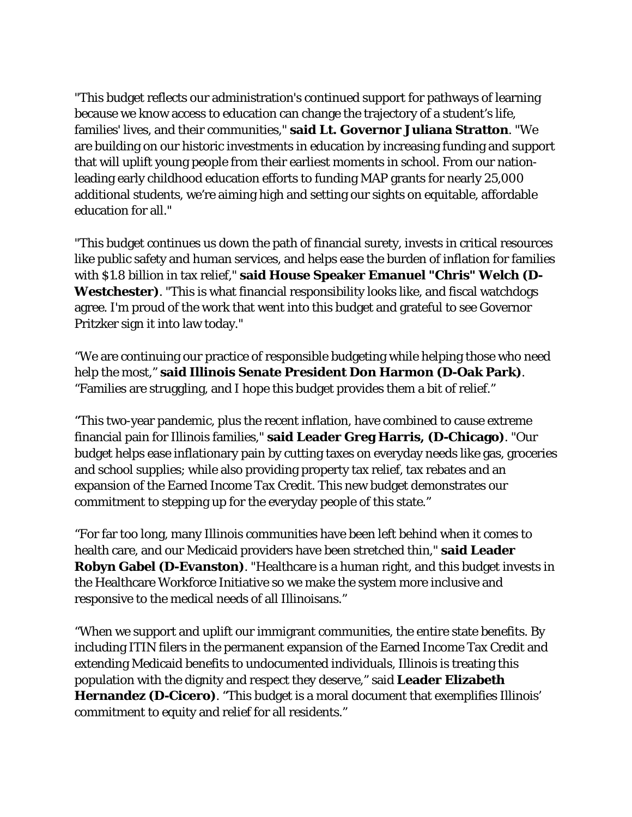"This budget reflects our administration's continued support for pathways of learning because we know access to education can change the trajectory of a student's life, families' lives, and their communities," **said Lt. Governor Juliana Stratton**. "We are building on our historic investments in education by increasing funding and support that will uplift young people from their earliest moments in school. From our nationleading early childhood education efforts to funding MAP grants for nearly 25,000 additional students, we're aiming high and setting our sights on equitable, affordable education for all."

"This budget continues us down the path of financial surety, invests in critical resources like public safety and human services, and helps ease the burden of inflation for families with \$1.8 billion in tax relief," **said House Speaker Emanuel "Chris" Welch (D-Westchester)**. "This is what financial responsibility looks like, and fiscal watchdogs agree. I'm proud of the work that went into this budget and grateful to see Governor Pritzker sign it into law today."

"We are continuing our practice of responsible budgeting while helping those who need help the most," **said Illinois Senate President Don Harmon (D-Oak Park)**. "Families are struggling, and I hope this budget provides them a bit of relief."

"This two-year pandemic, plus the recent inflation, have combined to cause extreme financial pain for Illinois families," **said Leader Greg Harris, (D-Chicago)**. "Our budget helps ease inflationary pain by cutting taxes on everyday needs like gas, groceries and school supplies; while also providing property tax relief, tax rebates and an expansion of the Earned Income Tax Credit. This new budget demonstrates our commitment to stepping up for the everyday people of this state."

"For far too long, many Illinois communities have been left behind when it comes to health care, and our Medicaid providers have been stretched thin," **said Leader Robyn Gabel (D-Evanston)**. "Healthcare is a human right, and this budget invests in the Healthcare Workforce Initiative so we make the system more inclusive and responsive to the medical needs of all Illinoisans."

"When we support and uplift our immigrant communities, the entire state benefits. By including ITIN filers in the permanent expansion of the Earned Income Tax Credit and extending Medicaid benefits to undocumented individuals, Illinois is treating this population with the dignity and respect they deserve," said **Leader Elizabeth Hernandez (D-Cicero)**. "This budget is a moral document that exemplifies Illinois' commitment to equity and relief for all residents."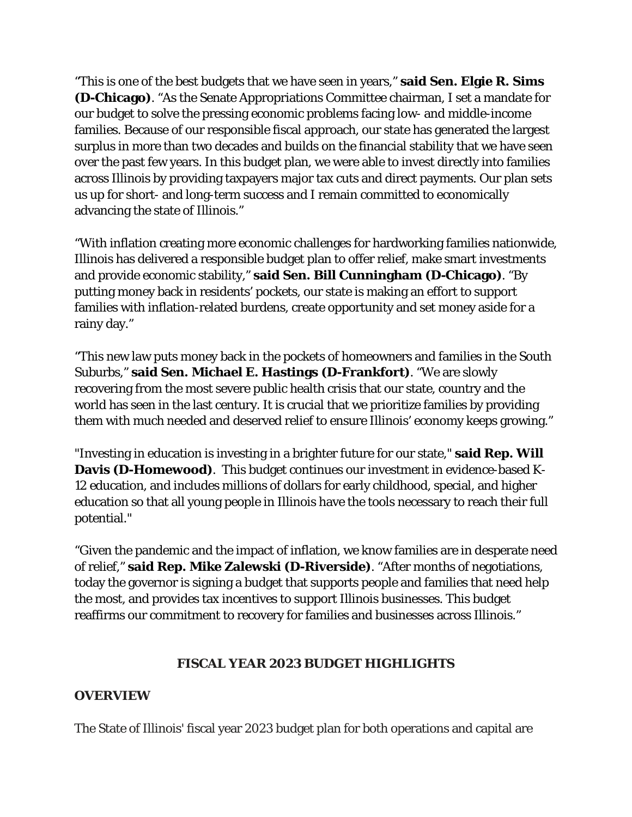"This is one of the best budgets that we have seen in years," **said Sen. Elgie R. Sims (D-Chicago)**. "As the Senate Appropriations Committee chairman, I set a mandate for our budget to solve the pressing economic problems facing low- and middle-income families. Because of our responsible fiscal approach, our state has generated the largest surplus in more than two decades and builds on the financial stability that we have seen over the past few years. In this budget plan, we were able to invest directly into families across Illinois by providing taxpayers major tax cuts and direct payments. Our plan sets us up for short- and long-term success and I remain committed to economically advancing the state of Illinois."

"With inflation creating more economic challenges for hardworking families nationwide, Illinois has delivered a responsible budget plan to offer relief, make smart investments and provide economic stability," **said Sen. Bill Cunningham (D-Chicago)**. "By putting money back in residents' pockets, our state is making an effort to support families with inflation-related burdens, create opportunity and set money aside for a rainy day."

"This new law puts money back in the pockets of homeowners and families in the South Suburbs," **said Sen. Michael E. Hastings (D-Frankfort)**. "We are slowly recovering from the most severe public health crisis that our state, country and the world has seen in the last century. It is crucial that we prioritize families by providing them with much needed and deserved relief to ensure Illinois' economy keeps growing."

"Investing in education is investing in a brighter future for our state," **said Rep. Will Davis (D-Homewood)**. This budget continues our investment in evidence-based K-12 education, and includes millions of dollars for early childhood, special, and higher education so that all young people in Illinois have the tools necessary to reach their full potential."

"Given the pandemic and the impact of inflation, we know families are in desperate need of relief," **said Rep. Mike Zalewski (D-Riverside)**. "After months of negotiations, today the governor is signing a budget that supports people and families that need help the most, and provides tax incentives to support Illinois businesses. This budget reaffirms our commitment to recovery for families and businesses across Illinois."

#### **FISCAL YEAR 2023 BUDGET HIGHLIGHTS**

#### **OVERVIEW**

The State of Illinois' fiscal year 2023 budget plan for both operations and capital are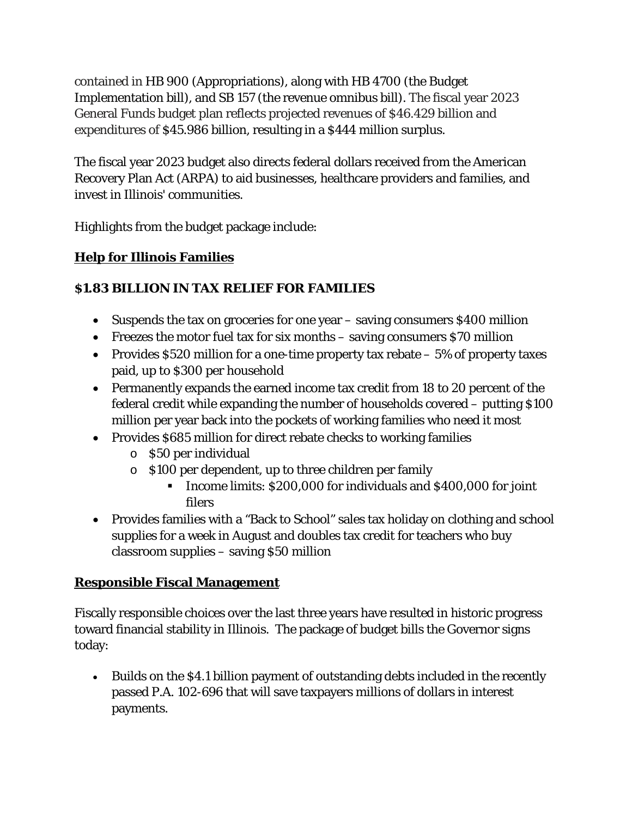contained in HB 900 (Appropriations), along with HB 4700 (the Budget Implementation bill), and SB 157 (the revenue omnibus bill). The fiscal year 2023 General Funds budget plan reflects projected revenues of \$46.429 billion and expenditures of \$45.986 billion, resulting in a \$444 million surplus.

The fiscal year 2023 budget also directs federal dollars received from the American Recovery Plan Act (ARPA) to aid businesses, healthcare providers and families, and invest in Illinois' communities.

Highlights from the budget package include:

## **Help for Illinois Families**

#### **\$1.83 BILLION IN TAX RELIEF FOR FAMILIES**

- Suspends the tax on groceries for one year saving consumers \$400 million
- Freezes the motor fuel tax for six months saving consumers \$70 million
- Provides  $$520$  million for a one-time property tax rebate  $-5\%$  of property taxes paid, up to \$300 per household
- Permanently expands the earned income tax credit from 18 to 20 percent of the federal credit while expanding the number of households covered – putting \$100 million per year back into the pockets of working families who need it most
- Provides \$685 million for direct rebate checks to working families
	- o \$50 per individual
	- o \$100 per dependent, up to three children per family
		- Income limits: \$200,000 for individuals and \$400,000 for joint filers
- Provides families with a "Back to School" sales tax holiday on clothing and school supplies for a week in August and doubles tax credit for teachers who buy classroom supplies – saving \$50 million

## **Responsible Fiscal Management**

Fiscally responsible choices over the last three years have resulted in historic progress toward financial stability in Illinois. The package of budget bills the Governor signs today:

• Builds on the \$4.1 billion payment of outstanding debts included in the recently passed P.A. 102-696 that will save taxpayers millions of dollars in interest payments.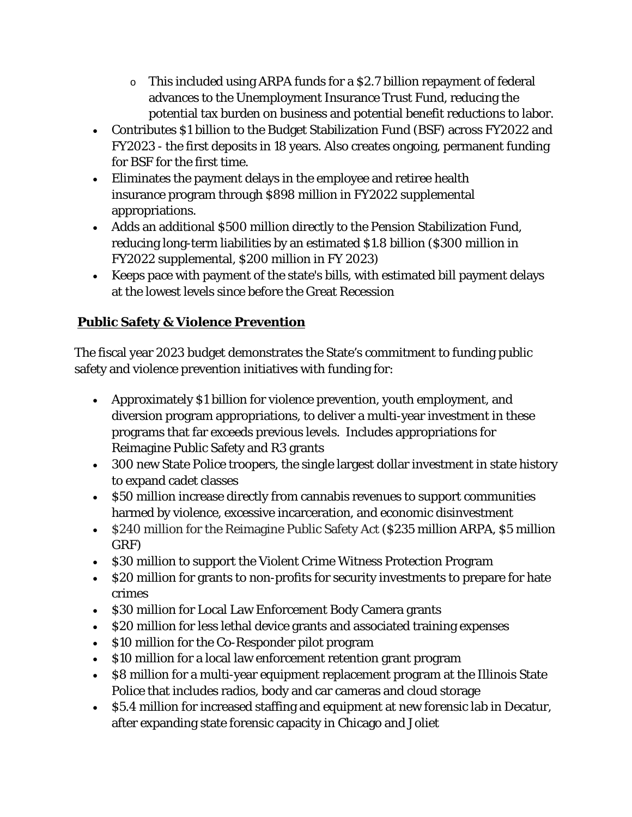- o This included using ARPA funds for a \$2.7 billion repayment of federal advances to the Unemployment Insurance Trust Fund, reducing the potential tax burden on business and potential benefit reductions to labor.
- Contributes \$1 billion to the Budget Stabilization Fund (BSF) across FY2022 and FY2023 - the first deposits in 18 years. Also creates ongoing, permanent funding for BSF for the first time.
- Eliminates the payment delays in the employee and retiree health insurance program through \$898 million in FY2022 supplemental appropriations.
- Adds an additional \$500 million directly to the Pension Stabilization Fund, reducing long-term liabilities by an estimated \$1.8 billion (\$300 million in FY2022 supplemental, \$200 million in FY 2023)
- Keeps pace with payment of the state's bills, with estimated bill payment delays at the lowest levels since before the Great Recession

## **Public Safety & Violence Prevention**

The fiscal year 2023 budget demonstrates the State's commitment to funding public safety and violence prevention initiatives with funding for:

- Approximately \$1 billion for violence prevention, youth employment, and diversion program appropriations, to deliver a multi-year investment in these programs that far exceeds previous levels. Includes appropriations for Reimagine Public Safety and R3 grants
- 300 new State Police troopers, the single largest dollar investment in state history to expand cadet classes
- \$50 million increase directly from cannabis revenues to support communities harmed by violence, excessive incarceration, and economic disinvestment
- \$240 million for the Reimagine Public Safety Act (\$235 million ARPA, \$5 million GRF)
- \$30 million to support the Violent Crime Witness Protection Program
- \$20 million for grants to non-profits for security investments to prepare for hate crimes
- \$30 million for Local Law Enforcement Body Camera grants
- \$20 million for less lethal device grants and associated training expenses
- \$10 million for the Co-Responder pilot program
- \$10 million for a local law enforcement retention grant program
- \$8 million for a multi-year equipment replacement program at the Illinois State Police that includes radios, body and car cameras and cloud storage
- \$5.4 million for increased staffing and equipment at new forensic lab in Decatur, after expanding state forensic capacity in Chicago and Joliet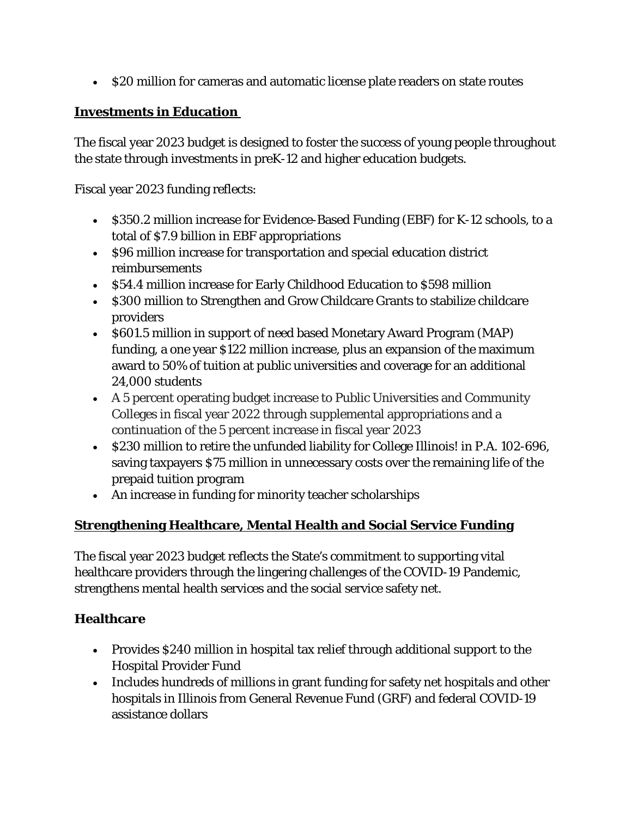• \$20 million for cameras and automatic license plate readers on state routes

#### **Investments in Education**

The fiscal year 2023 budget is designed to foster the success of young people throughout the state through investments in preK-12 and higher education budgets.

Fiscal year 2023 funding reflects:

- \$350.2 million increase for Evidence-Based Funding (EBF) for K-12 schools, to a total of \$7.9 billion in EBF appropriations
- \$96 million increase for transportation and special education district reimbursements
- \$54.4 million increase for Early Childhood Education to \$598 million
- \$300 million to Strengthen and Grow Childcare Grants to stabilize childcare providers
- \$601.5 million in support of need based Monetary Award Program (MAP) funding, a one year \$122 million increase, plus an expansion of the maximum award to 50% of tuition at public universities and coverage for an additional 24,000 students
- A 5 percent operating budget increase to Public Universities and Community Colleges in fiscal year 2022 through supplemental appropriations and a continuation of the 5 percent increase in fiscal year 2023
- \$230 million to retire the unfunded liability for College Illinois! in P.A. 102-696, saving taxpayers \$75 million in unnecessary costs over the remaining life of the prepaid tuition program
- An increase in funding for minority teacher scholarships

## **Strengthening Healthcare, Mental Health and Social Service Funding**

The fiscal year 2023 budget reflects the State's commitment to supporting vital healthcare providers through the lingering challenges of the COVID-19 Pandemic, strengthens mental health services and the social service safety net.

#### **Healthcare**

- Provides \$240 million in hospital tax relief through additional support to the Hospital Provider Fund
- Includes hundreds of millions in grant funding for safety net hospitals and other hospitals in Illinois from General Revenue Fund (GRF) and federal COVID-19 assistance dollars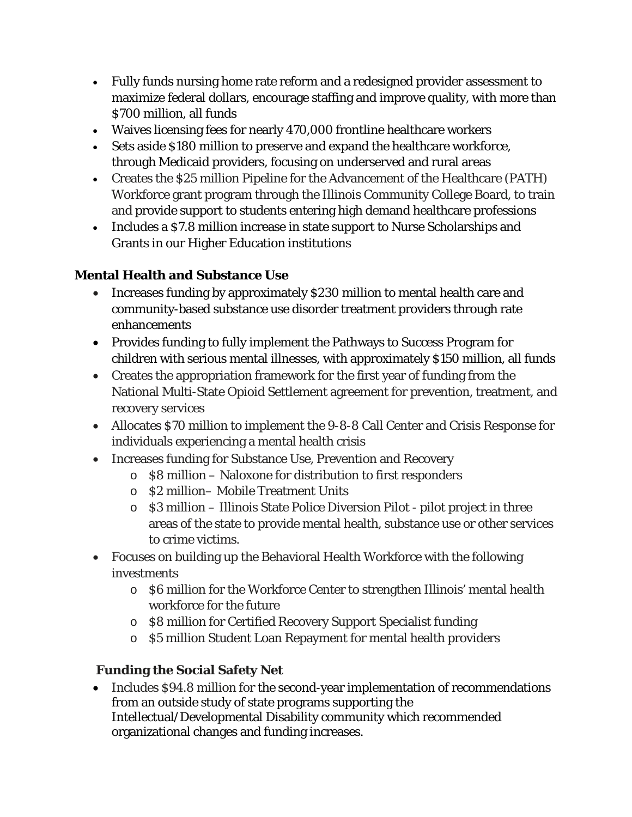- Fully funds nursing home rate reform and a redesigned provider assessment to maximize federal dollars, encourage staffing and improve quality, with more than \$700 million, all funds
- Waives licensing fees for nearly 470,000 frontline healthcare workers
- Sets aside \$180 million to preserve and expand the healthcare workforce, through Medicaid providers, focusing on underserved and rural areas
- Creates the \$25 million Pipeline for the Advancement of the Healthcare (PATH) Workforce grant program through the Illinois Community College Board, to train and provide support to students entering high demand healthcare professions
- Includes a \$7.8 million increase in state support to Nurse Scholarships and Grants in our Higher Education institutions

#### **Mental Health and Substance Use**

- Increases funding by approximately \$230 million to mental health care and community-based substance use disorder treatment providers through rate enhancements
- Provides funding to fully implement the Pathways to Success Program for children with serious mental illnesses, with approximately \$150 million, all funds
- Creates the appropriation framework for the first year of funding from the National Multi-State Opioid Settlement agreement for prevention, treatment, and recovery services
- Allocates \$70 million to implement the 9-8-8 Call Center and Crisis Response for individuals experiencing a mental health crisis
- Increases funding for Substance Use, Prevention and Recovery
	- o \$8 million Naloxone for distribution to first responders
	- o \$2 million– Mobile Treatment Units
	- o \$3 million Illinois State Police Diversion Pilot pilot project in three areas of the state to provide mental health, substance use or other services to crime victims.
- Focuses on building up the Behavioral Health Workforce with the following investments
	- o \$6 million for the Workforce Center to strengthen Illinois' mental health workforce for the future
	- o \$8 million for Certified Recovery Support Specialist funding
	- o \$5 million Student Loan Repayment for mental health providers

## **Funding the Social Safety Net**

• Includes \$94.8 million for the second-year implementation of recommendations from an outside study of state programs supporting the Intellectual/Developmental Disability community which recommended organizational changes and funding increases.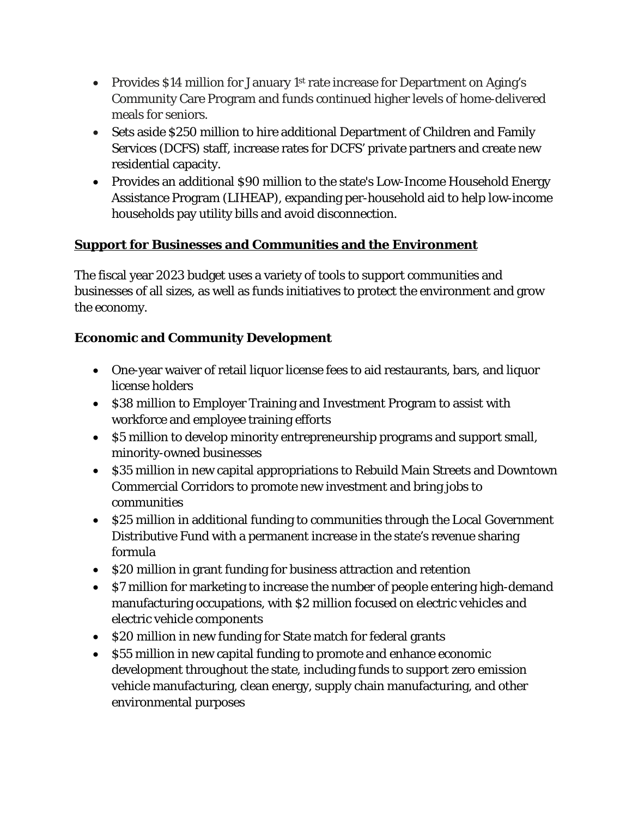- Provides \$14 million for January 1<sup>st</sup> rate increase for Department on Aging's Community Care Program and funds continued higher levels of home-delivered meals for seniors.
- Sets aside \$250 million to hire additional Department of Children and Family Services (DCFS) staff, increase rates for DCFS' private partners and create new residential capacity.
- Provides an additional \$90 million to the state's Low-Income Household Energy Assistance Program (LIHEAP), expanding per-household aid to help low-income households pay utility bills and avoid disconnection.

#### **Support for Businesses and Communities and the Environment**

The fiscal year 2023 budget uses a variety of tools to support communities and businesses of all sizes, as well as funds initiatives to protect the environment and grow the economy.

#### **Economic and Community Development**

- One-year waiver of retail liquor license fees to aid restaurants, bars, and liquor license holders
- \$38 million to Employer Training and Investment Program to assist with workforce and employee training efforts
- \$5 million to develop minority entrepreneurship programs and support small, minority-owned businesses
- \$35 million in new capital appropriations to Rebuild Main Streets and Downtown Commercial Corridors to promote new investment and bring jobs to communities
- \$25 million in additional funding to communities through the Local Government Distributive Fund with a permanent increase in the state's revenue sharing formula
- \$20 million in grant funding for business attraction and retention
- \$7 million for marketing to increase the number of people entering high-demand manufacturing occupations, with \$2 million focused on electric vehicles and electric vehicle components
- \$20 million in new funding for State match for federal grants
- \$55 million in new capital funding to promote and enhance economic development throughout the state, including funds to support zero emission vehicle manufacturing, clean energy, supply chain manufacturing, and other environmental purposes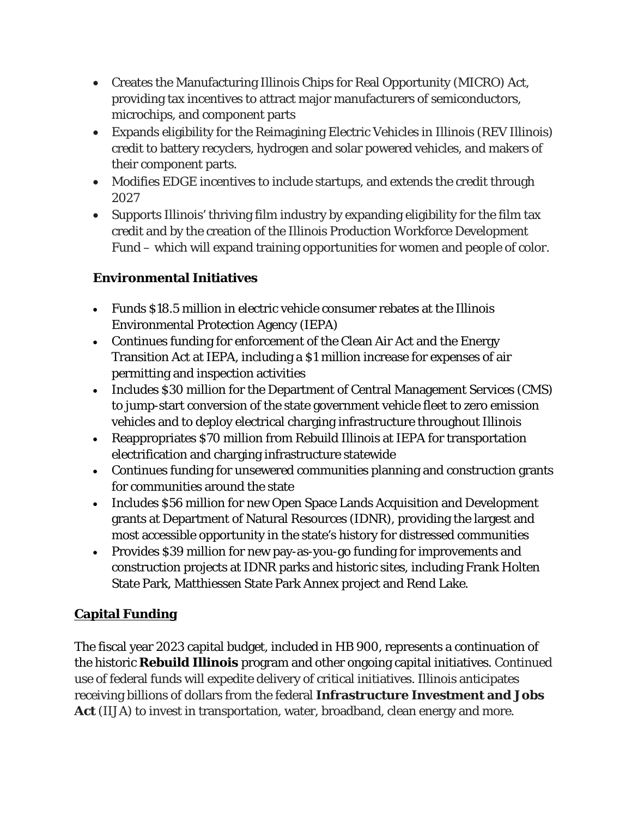- Creates the Manufacturing Illinois Chips for Real Opportunity (MICRO) Act, providing tax incentives to attract major manufacturers of semiconductors, microchips, and component parts
- Expands eligibility for the Reimagining Electric Vehicles in Illinois (REV Illinois) credit to battery recyclers, hydrogen and solar powered vehicles, and makers of their component parts.
- Modifies EDGE incentives to include startups, and extends the credit through 2027
- Supports Illinois' thriving film industry by expanding eligibility for the film tax credit and by the creation of the Illinois Production Workforce Development Fund – which will expand training opportunities for women and people of color.

## **Environmental Initiatives**

- Funds \$18.5 million in electric vehicle consumer rebates at the Illinois Environmental Protection Agency (IEPA)
- Continues funding for enforcement of the Clean Air Act and the Energy Transition Act at IEPA, including a \$1 million increase for expenses of air permitting and inspection activities
- Includes \$30 million for the Department of Central Management Services (CMS) to jump-start conversion of the state government vehicle fleet to zero emission vehicles and to deploy electrical charging infrastructure throughout Illinois
- Reappropriates \$70 million from Rebuild Illinois at IEPA for transportation electrification and charging infrastructure statewide
- Continues funding for unsewered communities planning and construction grants for communities around the state
- Includes \$56 million for new Open Space Lands Acquisition and Development grants at Department of Natural Resources (IDNR), providing the largest and most accessible opportunity in the state's history for distressed communities
- Provides \$39 million for new pay-as-you-go funding for improvements and construction projects at IDNR parks and historic sites, including Frank Holten State Park, Matthiessen State Park Annex project and Rend Lake.

## **Capital Funding**

The fiscal year 2023 capital budget, included in HB 900, represents a continuation of the historic **Rebuild Illinois** program and other ongoing capital initiatives. Continued use of federal funds will expedite delivery of critical initiatives. Illinois anticipates receiving billions of dollars from the federal **Infrastructure Investment and Jobs Act** (IIJA) to invest in transportation, water, broadband, clean energy and more.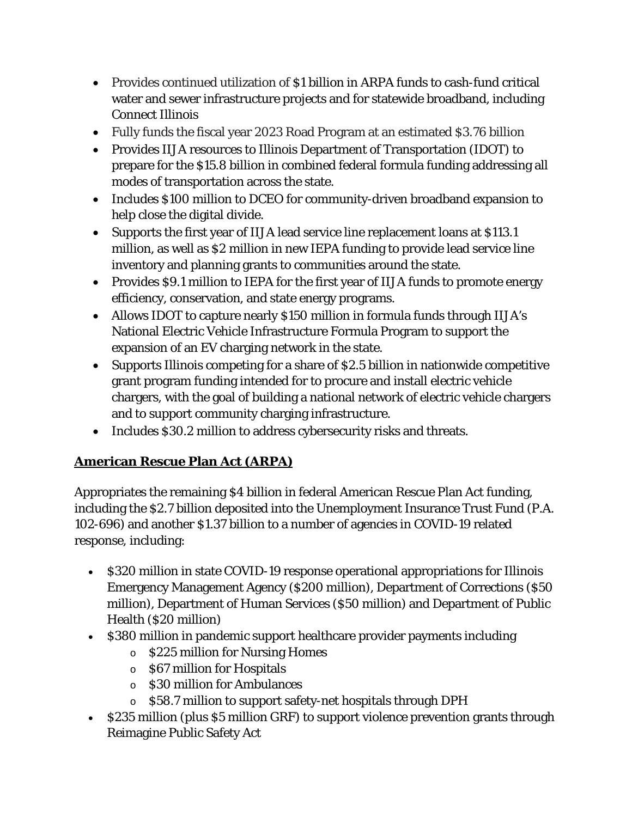- Provides continued utilization of \$1 billion in ARPA funds to cash-fund critical water and sewer infrastructure projects and for statewide broadband, including Connect Illinois
- Fully funds the fiscal year 2023 Road Program at an estimated \$3.76 billion
- Provides IIJA resources to Illinois Department of Transportation (IDOT) to prepare for the \$15.8 billion in combined federal formula funding addressing all modes of transportation across the state.
- Includes \$100 million to DCEO for community-driven broadband expansion to help close the digital divide.
- Supports the first year of IIJA lead service line replacement loans at \$113.1 million, as well as \$2 million in new IEPA funding to provide lead service line inventory and planning grants to communities around the state.
- Provides \$9.1 million to IEPA for the first year of IIJA funds to promote energy efficiency, conservation, and state energy programs.
- Allows IDOT to capture nearly \$150 million in formula funds through IIJA's National Electric Vehicle Infrastructure Formula Program to support the expansion of an EV charging network in the state.
- Supports Illinois competing for a share of \$2.5 billion in nationwide competitive grant program funding intended for to procure and install electric vehicle chargers, with the goal of building a national network of electric vehicle chargers and to support community charging infrastructure.
- Includes \$30.2 million to address cybersecurity risks and threats.

## **American Rescue Plan Act (ARPA)**

Appropriates the remaining \$4 billion in federal American Rescue Plan Act funding, including the \$2.7 billion deposited into the Unemployment Insurance Trust Fund (P.A. 102-696) and another \$1.37 billion to a number of agencies in COVID-19 related response, including:

- \$320 million in state COVID-19 response operational appropriations for Illinois Emergency Management Agency (\$200 million), Department of Corrections (\$50 million), Department of Human Services (\$50 million) and Department of Public Health (\$20 million)
- \$380 million in pandemic support healthcare provider payments including
	- o \$225 million for Nursing Homes
	- o \$67 million for Hospitals
	- o \$30 million for Ambulances
	- o \$58.7 million to support safety-net hospitals through DPH
- \$235 million (plus \$5 million GRF) to support violence prevention grants through Reimagine Public Safety Act